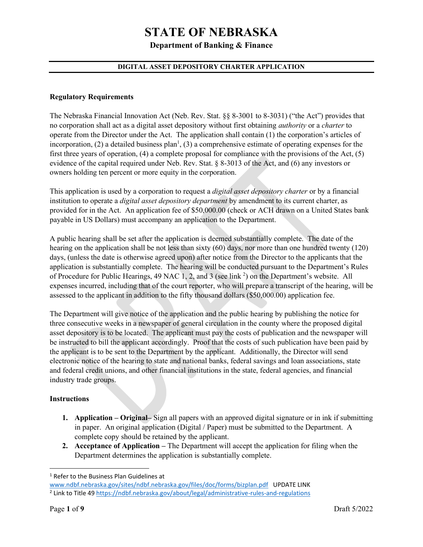**Department of Banking & Finance**

### **DIGITAL ASSET DEPOSITORY CHARTER APPLICATION**

#### **Regulatory Requirements**

The Nebraska Financial Innovation Act (Neb. Rev. Stat. §§ 8-3001 to 8-3031) ("the Act") provides that no corporation shall act as a digital asset depository without first obtaining *authority* or a *charter* to operate from the Director under the Act. The application shall contain (1) the corporation's articles of incorporation,  $(2)$  a detailed business plan<sup>1</sup>,  $(3)$  a comprehensive estimate of operating expenses for the first three years of operation, (4) a complete proposal for compliance with the provisions of the Act, (5) evidence of the capital required under Neb. Rev. Stat. § 8-3013 of the Act, and (6) any investors or owners holding ten percent or more equity in the corporation.

This application is used by a corporation to request a *digital asset depository charter* or by a financial institution to operate a *digital asset depository department* by amendment to its current charter, as provided for in the Act. An application fee of \$50,000.00 (check or ACH drawn on a United States bank payable in US Dollars) must accompany an application to the Department.

A public hearing shall be set after the application is deemed substantially complete. The date of the hearing on the application shall be not less than sixty (60) days, nor more than one hundred twenty (120) days, (unless the date is otherwise agreed upon) after notice from the Director to the applicants that the application is substantially complete. The hearing will be conducted pursuant to the Department's Rules of Procedure for Public Hearings, 49 NAC 1, 2, and 3 (see link <sup>2</sup>) on the Department's website. All expenses incurred, including that of the court reporter, who will prepare a transcript of the hearing, will be assessed to the applicant in addition to the fifty thousand dollars (\$50,000.00) application fee.

The Department will give notice of the application and the public hearing by publishing the notice for three consecutive weeks in a newspaper of general circulation in the county where the proposed digital asset depository is to be located. The applicant must pay the costs of publication and the newspaper will be instructed to bill the applicant accordingly. Proof that the costs of such publication have been paid by the applicant is to be sent to the Department by the applicant. Additionally, the Director will send electronic notice of the hearing to state and national banks, federal savings and loan associations, state and federal credit unions, and other financial institutions in the state, federal agencies, and financial industry trade groups.

### **Instructions**

- **1. Application – Original–** Sign all papers with an approved digital signature or in ink if submitting in paper. An original application (Digital / Paper) must be submitted to the Department. A complete copy should be retained by the applicant.
- **2. Acceptance of Application –** The Department will accept the application for filing when the Department determines the application is substantially complete.

<sup>1</sup> Refer to the Business Plan Guidelines at

[www.ndbf.nebraska.gov/sites/ndbf.nebraska.gov/files/doc/forms/bizplan.pdf](http://www.ndbf.nebraska.gov/sites/ndbf.nebraska.gov/files/doc/forms/bizplan.pdf) UPDATE LINK <sup>2</sup> Link to Title 4[9 https://ndbf.nebraska.gov/about/legal/administrative-rules-and-regulations](https://ndbf.nebraska.gov/about/legal/administrative-rules-and-regulations)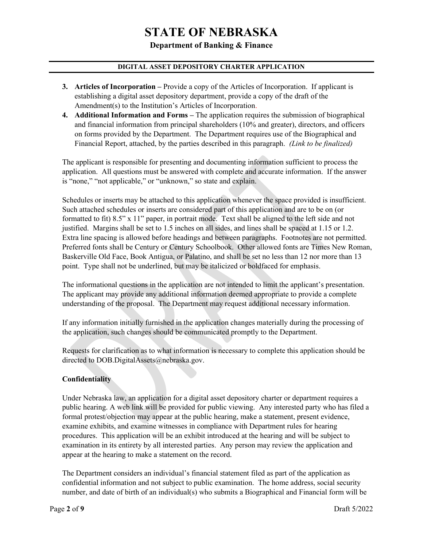### **Department of Banking & Finance**

## **DIGITAL ASSET DEPOSITORY CHARTER APPLICATION**

- **3. Articles of Incorporation –** Provide a copy of the Articles of Incorporation. If applicant is establishing a digital asset depository department, provide a copy of the draft of the Amendment(s) to the Institution's Articles of Incorporation.
- **4. Additional Information and Forms –** The application requires the submission of biographical and financial information from principal shareholders (10% and greater), directors, and officers on forms provided by the Department. The Department requires use of the Biographical and Financial Report, attached, by the parties described in this paragraph. *(Link to be finalized)*

The applicant is responsible for presenting and documenting information sufficient to process the application. All questions must be answered with complete and accurate information. If the answer is "none," "not applicable," or "unknown," so state and explain.

Schedules or inserts may be attached to this application whenever the space provided is insufficient. Such attached schedules or inserts are considered part of this application and are to be on (or formatted to fit) 8.5" x 11" paper, in portrait mode. Text shall be aligned to the left side and not justified. Margins shall be set to 1.5 inches on all sides, and lines shall be spaced at 1.15 or 1.2. Extra line spacing is allowed before headings and between paragraphs. Footnotes are not permitted. Preferred fonts shall be Century or Century Schoolbook. Other allowed fonts are Times New Roman, Baskerville Old Face, Book Antigua, or Palatino, and shall be set no less than 12 nor more than 13 point. Type shall not be underlined, but may be italicized or boldfaced for emphasis.

The informational questions in the application are not intended to limit the applicant's presentation. The applicant may provide any additional information deemed appropriate to provide a complete understanding of the proposal. The Department may request additional necessary information.

If any information initially furnished in the application changes materially during the processing of the application, such changes should be communicated promptly to the Department.

Requests for clarification as to what information is necessary to complete this application should be directed to DOB.DigitalAssets@nebraska.gov.

### **Confidentiality**

Under Nebraska law, an application for a digital asset depository charter or department requires a public hearing. A web link will be provided for public viewing. Any interested party who has filed a formal protest/objection may appear at the public hearing, make a statement, present evidence, examine exhibits, and examine witnesses in compliance with Department rules for hearing procedures. This application will be an exhibit introduced at the hearing and will be subject to examination in its entirety by all interested parties. Any person may review the application and appear at the hearing to make a statement on the record.

The Department considers an individual's financial statement filed as part of the application as confidential information and not subject to public examination. The home address, social security number, and date of birth of an individual(s) who submits a Biographical and Financial form will be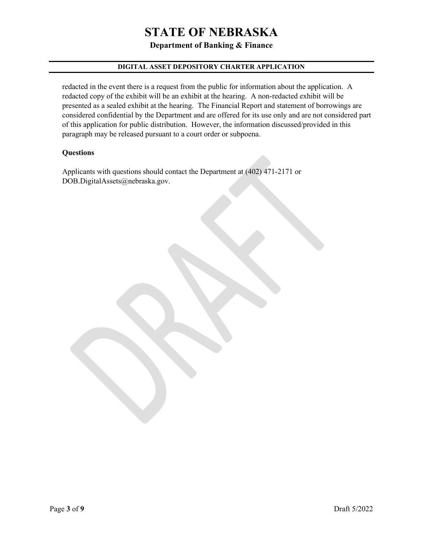**Department of Banking & Finance**

# **DIGITAL ASSET DEPOSITORY CHARTER APPLICATION**

redacted in the event there is a request from the public for information about the application. A redacted copy of the exhibit will be an exhibit at the hearing. A non-redacted exhibit will be presented as a sealed exhibit at the hearing. The Financial Report and statement of borrowings are considered confidential by the Department and are offered for its use only and are not considered part of this application for public distribution. However, the information discussed/provided in this paragraph may be released pursuant to a court order or subpoena.

### **Questions**

Applicants with questions should contact the Department at (402) 471-2171 or DOB.DigitalAssets@nebraska.gov.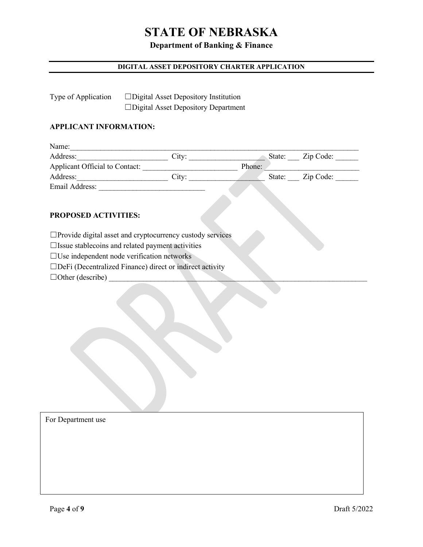# **Department of Banking & Finance**

# **DIGITAL ASSET DEPOSITORY CHARTER APPLICATION**

| Type of Application | $\Box$ Digital Asset Depository Institution |  |  |
|---------------------|---------------------------------------------|--|--|
|                     | $\Box$ Digital Asset Depository Department  |  |  |

### **APPLICANT INFORMATION:**

| Name:                          |       |        |                  |
|--------------------------------|-------|--------|------------------|
| Address:                       | City: |        | State: Zip Code: |
| Applicant Official to Contact: |       | Phone: |                  |
| Address:                       | City: |        | State: Zip Code: |
| Email Address:                 |       |        |                  |

#### **PROPOSED ACTIVITIES:**

☐Provide digital asset and cryptocurrency custody services

☐Issue stablecoins and related payment activities

☐Use independent node verification networks

☐DeFi (Decentralized Finance) direct or indirect activity

 $\Box$  Other (describe)

For Department use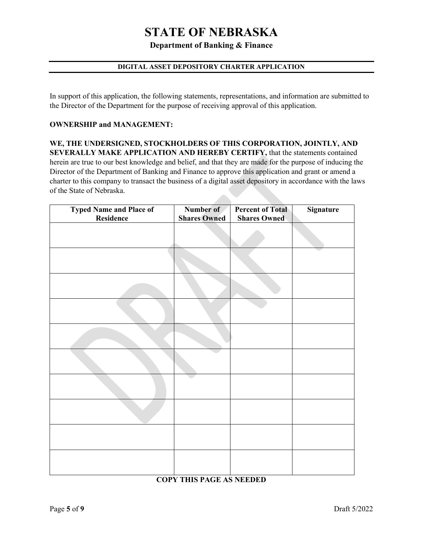**Department of Banking & Finance**

# **DIGITAL ASSET DEPOSITORY CHARTER APPLICATION**

In support of this application, the following statements, representations, and information are submitted to the Director of the Department for the purpose of receiving approval of this application.

#### **OWNERSHIP and MANAGEMENT:**

**WE, THE UNDERSIGNED, STOCKHOLDERS OF THIS CORPORATION, JOINTLY, AND SEVERALLY MAKE APPLICATION AND HEREBY CERTIFY,** that the statements contained herein are true to our best knowledge and belief, and that they are made for the purpose of inducing the Director of the Department of Banking and Finance to approve this application and grant or amend a charter to this company to transact the business of a digital asset depository in accordance with the laws of the State of Nebraska. 

| <b>Typed Name and Place of<br/>Residence</b> | Number of           | <b>Percent of Total</b> | <b>Signature</b> |
|----------------------------------------------|---------------------|-------------------------|------------------|
|                                              | <b>Shares Owned</b> | <b>Shares Owned</b>     |                  |
|                                              |                     |                         |                  |
|                                              |                     |                         |                  |
|                                              |                     |                         |                  |
|                                              |                     |                         |                  |
|                                              |                     |                         |                  |
|                                              |                     |                         |                  |
|                                              |                     |                         |                  |
|                                              |                     |                         |                  |
|                                              |                     |                         |                  |
|                                              |                     |                         |                  |

# **COPY THIS PAGE AS NEEDED**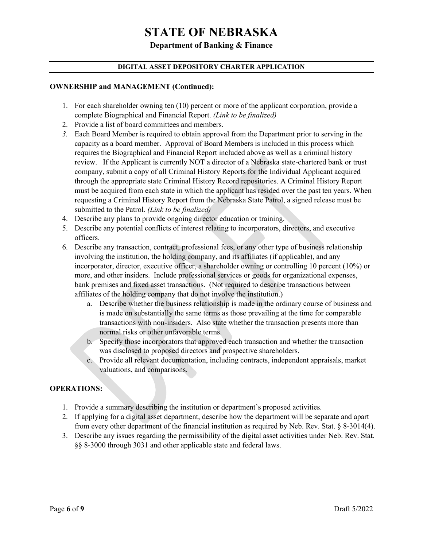## **Department of Banking & Finance**

### **DIGITAL ASSET DEPOSITORY CHARTER APPLICATION**

#### **OWNERSHIP and MANAGEMENT (Continued):**

- 1. For each shareholder owning ten (10) percent or more of the applicant corporation, provide a complete Biographical and Financial Report. *(Link to be finalized)*
- 2. Provide a list of board committees and members.
- *3.* Each Board Member is required to obtain approval from the Department prior to serving in the capacity as a board member. Approval of Board Members is included in this process which requires the Biographical and Financial Report included above as well as a criminal history review. If the Applicant is currently NOT a director of a Nebraska state-chartered bank or trust company, submit a copy of all Criminal History Reports for the Individual Applicant acquired through the appropriate state Criminal History Record repositories. A Criminal History Report must be acquired from each state in which the applicant has resided over the past ten years. When requesting a Criminal History Report from the Nebraska State Patrol, a signed release must be submitted to the Patrol. *(Link to be finalized)*
- 4. Describe any plans to provide ongoing director education or training.
- 5. Describe any potential conflicts of interest relating to incorporators, directors, and executive officers.
- 6. Describe any transaction, contract, professional fees, or any other type of business relationship involving the institution, the holding company, and its affiliates (if applicable), and any incorporator, director, executive officer, a shareholder owning or controlling 10 percent (10%) or more, and other insiders. Include professional services or goods for organizational expenses, bank premises and fixed asset transactions. (Not required to describe transactions between affiliates of the holding company that do not involve the institution.)
	- a. Describe whether the business relationship is made in the ordinary course of business and is made on substantially the same terms as those prevailing at the time for comparable transactions with non-insiders. Also state whether the transaction presents more than normal risks or other unfavorable terms.
	- b. Specify those incorporators that approved each transaction and whether the transaction was disclosed to proposed directors and prospective shareholders.
	- c. Provide all relevant documentation, including contracts, independent appraisals, market valuations, and comparisons.

### **OPERATIONS:**

- 1. Provide a summary describing the institution or department's proposed activities.
- 2. If applying for a digital asset department, describe how the department will be separate and apart from every other department of the financial institution as required by Neb. Rev. Stat. § 8-3014(4).
- 3. Describe any issues regarding the permissibility of the digital asset activities under Neb. Rev. Stat. §§ 8-3000 through 3031 and other applicable state and federal laws.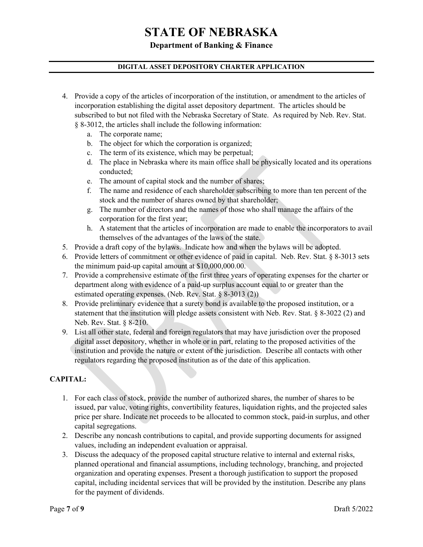**Department of Banking & Finance**

## **DIGITAL ASSET DEPOSITORY CHARTER APPLICATION**

- 4. Provide a copy of the articles of incorporation of the institution, or amendment to the articles of incorporation establishing the digital asset depository department. The articles should be subscribed to but not filed with the Nebraska Secretary of State. As required by Neb. Rev. Stat. § 8-3012, the articles shall include the following information:
	- a. The corporate name;
	- b. The object for which the corporation is organized;
	- c. The term of its existence, which may be perpetual;
	- d. The place in Nebraska where its main office shall be physically located and its operations conducted;
	- e. The amount of capital stock and the number of shares;
	- f. The name and residence of each shareholder subscribing to more than ten percent of the stock and the number of shares owned by that shareholder;
	- g. The number of directors and the names of those who shall manage the affairs of the corporation for the first year;
	- h. A statement that the articles of incorporation are made to enable the incorporators to avail themselves of the advantages of the laws of the state.
- 5. Provide a draft copy of the bylaws. Indicate how and when the bylaws will be adopted.
- 6. Provide letters of commitment or other evidence of paid in capital. Neb. Rev. Stat. § 8-3013 sets the minimum paid-up capital amount at \$10,000,000.00.
- 7. Provide a comprehensive estimate of the first three years of operating expenses for the charter or department along with evidence of a paid-up surplus account equal to or greater than the estimated operating expenses. (Neb. Rev. Stat. § 8-3013 (2))
- 8. Provide preliminary evidence that a surety bond is available to the proposed institution, or a statement that the institution will pledge assets consistent with Neb. Rev. Stat. § 8-3022 (2) and Neb. Rev. Stat. § 8-210.
- 9. List all other state, federal and foreign regulators that may have jurisdiction over the proposed digital asset depository, whether in whole or in part, relating to the proposed activities of the institution and provide the nature or extent of the jurisdiction. Describe all contacts with other regulators regarding the proposed institution as of the date of this application.

# **CAPITAL:**

- 1. For each class of stock, provide the number of authorized shares, the number of shares to be issued, par value, voting rights, convertibility features, liquidation rights, and the projected sales price per share. Indicate net proceeds to be allocated to common stock, paid-in surplus, and other capital segregations.
- 2. Describe any noncash contributions to capital, and provide supporting documents for assigned values, including an independent evaluation or appraisal.
- 3. Discuss the adequacy of the proposed capital structure relative to internal and external risks, planned operational and financial assumptions, including technology, branching, and projected organization and operating expenses. Present a thorough justification to support the proposed capital, including incidental services that will be provided by the institution. Describe any plans for the payment of dividends.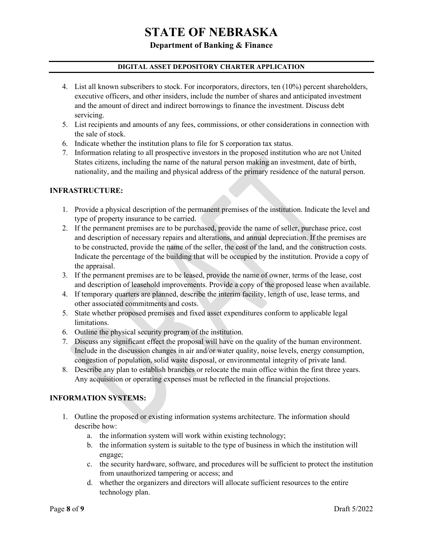## **Department of Banking & Finance**

## **DIGITAL ASSET DEPOSITORY CHARTER APPLICATION**

- 4. List all known subscribers to stock. For incorporators, directors, ten (10%) percent shareholders, executive officers, and other insiders, include the number of shares and anticipated investment and the amount of direct and indirect borrowings to finance the investment. Discuss debt servicing.
- 5. List recipients and amounts of any fees, commissions, or other considerations in connection with the sale of stock.
- 6. Indicate whether the institution plans to file for S corporation tax status.
- 7. Information relating to all prospective investors in the proposed institution who are not United States citizens, including the name of the natural person making an investment, date of birth, nationality, and the mailing and physical address of the primary residence of the natural person.

#### **INFRASTRUCTURE:**

- 1. Provide a physical description of the permanent premises of the institution. Indicate the level and type of property insurance to be carried.
- 2. If the permanent premises are to be purchased, provide the name of seller, purchase price, cost and description of necessary repairs and alterations, and annual depreciation. If the premises are to be constructed, provide the name of the seller, the cost of the land, and the construction costs. Indicate the percentage of the building that will be occupied by the institution. Provide a copy of the appraisal.
- 3. If the permanent premises are to be leased, provide the name of owner, terms of the lease, cost and description of leasehold improvements. Provide a copy of the proposed lease when available.
- 4. If temporary quarters are planned, describe the interim facility, length of use, lease terms, and other associated commitments and costs.
- 5. State whether proposed premises and fixed asset expenditures conform to applicable legal limitations.
- 6. Outline the physical security program of the institution.
- 7. Discuss any significant effect the proposal will have on the quality of the human environment. Include in the discussion changes in air and/or water quality, noise levels, energy consumption, congestion of population, solid waste disposal, or environmental integrity of private land.
- 8. Describe any plan to establish branches or relocate the main office within the first three years. Any acquisition or operating expenses must be reflected in the financial projections.

#### **INFORMATION SYSTEMS:**

- 1. Outline the proposed or existing information systems architecture. The information should describe how:
	- a. the information system will work within existing technology;
	- b. the information system is suitable to the type of business in which the institution will engage;
	- c. the security hardware, software, and procedures will be sufficient to protect the institution from unauthorized tampering or access; and
	- d. whether the organizers and directors will allocate sufficient resources to the entire technology plan.